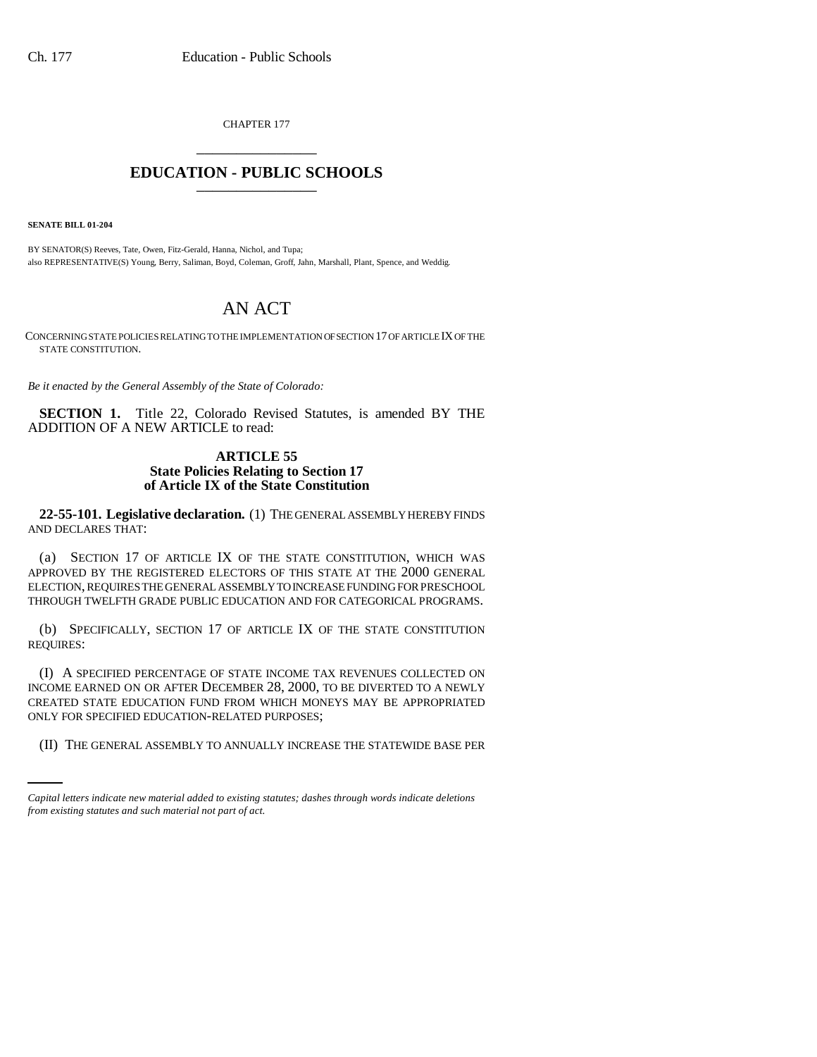CHAPTER 177 \_\_\_\_\_\_\_\_\_\_\_\_\_\_\_

## **EDUCATION - PUBLIC SCHOOLS** \_\_\_\_\_\_\_\_\_\_\_\_\_\_\_

**SENATE BILL 01-204**

BY SENATOR(S) Reeves, Tate, Owen, Fitz-Gerald, Hanna, Nichol, and Tupa; also REPRESENTATIVE(S) Young, Berry, Saliman, Boyd, Coleman, Groff, Jahn, Marshall, Plant, Spence, and Weddig.

## AN ACT

CONCERNING STATE POLICIES RELATING TO THE IMPLEMENTATION OF SECTION 17 OF ARTICLE IX OF THE STATE CONSTITUTION.

*Be it enacted by the General Assembly of the State of Colorado:*

**SECTION 1.** Title 22, Colorado Revised Statutes, is amended BY THE ADDITION OF A NEW ARTICLE to read:

## **ARTICLE 55 State Policies Relating to Section 17 of Article IX of the State Constitution**

**22-55-101. Legislative declaration.** (1) THE GENERAL ASSEMBLY HEREBY FINDS AND DECLARES THAT:

(a) SECTION 17 OF ARTICLE IX OF THE STATE CONSTITUTION, WHICH WAS APPROVED BY THE REGISTERED ELECTORS OF THIS STATE AT THE 2000 GENERAL ELECTION, REQUIRES THE GENERAL ASSEMBLY TO INCREASE FUNDING FOR PRESCHOOL THROUGH TWELFTH GRADE PUBLIC EDUCATION AND FOR CATEGORICAL PROGRAMS.

(b) SPECIFICALLY, SECTION 17 OF ARTICLE IX OF THE STATE CONSTITUTION REQUIRES:

ONLY FOR SPECIFIED EDUCATION-RELATED PURPOSES; (I) A SPECIFIED PERCENTAGE OF STATE INCOME TAX REVENUES COLLECTED ON INCOME EARNED ON OR AFTER DECEMBER 28, 2000, TO BE DIVERTED TO A NEWLY CREATED STATE EDUCATION FUND FROM WHICH MONEYS MAY BE APPROPRIATED

(II) THE GENERAL ASSEMBLY TO ANNUALLY INCREASE THE STATEWIDE BASE PER

*Capital letters indicate new material added to existing statutes; dashes through words indicate deletions from existing statutes and such material not part of act.*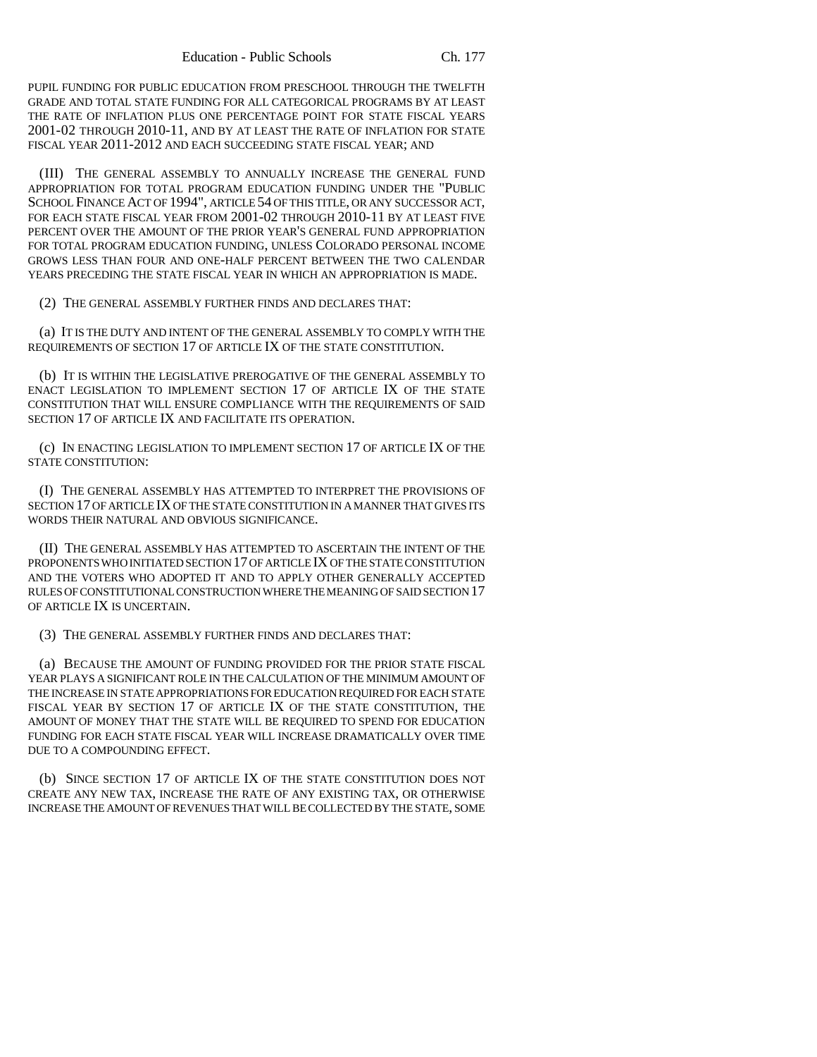PUPIL FUNDING FOR PUBLIC EDUCATION FROM PRESCHOOL THROUGH THE TWELFTH GRADE AND TOTAL STATE FUNDING FOR ALL CATEGORICAL PROGRAMS BY AT LEAST THE RATE OF INFLATION PLUS ONE PERCENTAGE POINT FOR STATE FISCAL YEARS 2001-02 THROUGH 2010-11, AND BY AT LEAST THE RATE OF INFLATION FOR STATE FISCAL YEAR 2011-2012 AND EACH SUCCEEDING STATE FISCAL YEAR; AND

(III) THE GENERAL ASSEMBLY TO ANNUALLY INCREASE THE GENERAL FUND APPROPRIATION FOR TOTAL PROGRAM EDUCATION FUNDING UNDER THE "PUBLIC SCHOOL FINANCE ACT OF 1994", ARTICLE 54 OF THIS TITLE, OR ANY SUCCESSOR ACT, FOR EACH STATE FISCAL YEAR FROM 2001-02 THROUGH 2010-11 BY AT LEAST FIVE PERCENT OVER THE AMOUNT OF THE PRIOR YEAR'S GENERAL FUND APPROPRIATION FOR TOTAL PROGRAM EDUCATION FUNDING, UNLESS COLORADO PERSONAL INCOME GROWS LESS THAN FOUR AND ONE-HALF PERCENT BETWEEN THE TWO CALENDAR YEARS PRECEDING THE STATE FISCAL YEAR IN WHICH AN APPROPRIATION IS MADE.

(2) THE GENERAL ASSEMBLY FURTHER FINDS AND DECLARES THAT:

(a) IT IS THE DUTY AND INTENT OF THE GENERAL ASSEMBLY TO COMPLY WITH THE REQUIREMENTS OF SECTION 17 OF ARTICLE IX OF THE STATE CONSTITUTION.

(b) IT IS WITHIN THE LEGISLATIVE PREROGATIVE OF THE GENERAL ASSEMBLY TO ENACT LEGISLATION TO IMPLEMENT SECTION 17 OF ARTICLE IX OF THE STATE CONSTITUTION THAT WILL ENSURE COMPLIANCE WITH THE REQUIREMENTS OF SAID SECTION 17 OF ARTICLE IX AND FACILITATE ITS OPERATION.

(c) IN ENACTING LEGISLATION TO IMPLEMENT SECTION 17 OF ARTICLE IX OF THE STATE CONSTITUTION:

(I) THE GENERAL ASSEMBLY HAS ATTEMPTED TO INTERPRET THE PROVISIONS OF SECTION 17 OF ARTICLE IX OF THE STATE CONSTITUTION IN A MANNER THAT GIVES ITS WORDS THEIR NATURAL AND OBVIOUS SIGNIFICANCE.

(II) THE GENERAL ASSEMBLY HAS ATTEMPTED TO ASCERTAIN THE INTENT OF THE PROPONENTS WHO INITIATED SECTION 17 OF ARTICLE IX OF THE STATE CONSTITUTION AND THE VOTERS WHO ADOPTED IT AND TO APPLY OTHER GENERALLY ACCEPTED RULES OF CONSTITUTIONAL CONSTRUCTION WHERE THE MEANING OF SAID SECTION 17 OF ARTICLE IX IS UNCERTAIN.

(3) THE GENERAL ASSEMBLY FURTHER FINDS AND DECLARES THAT:

(a) BECAUSE THE AMOUNT OF FUNDING PROVIDED FOR THE PRIOR STATE FISCAL YEAR PLAYS A SIGNIFICANT ROLE IN THE CALCULATION OF THE MINIMUM AMOUNT OF THE INCREASE IN STATE APPROPRIATIONS FOR EDUCATION REQUIRED FOR EACH STATE FISCAL YEAR BY SECTION 17 OF ARTICLE IX OF THE STATE CONSTITUTION, THE AMOUNT OF MONEY THAT THE STATE WILL BE REQUIRED TO SPEND FOR EDUCATION FUNDING FOR EACH STATE FISCAL YEAR WILL INCREASE DRAMATICALLY OVER TIME DUE TO A COMPOUNDING EFFECT.

(b) SINCE SECTION 17 OF ARTICLE IX OF THE STATE CONSTITUTION DOES NOT CREATE ANY NEW TAX, INCREASE THE RATE OF ANY EXISTING TAX, OR OTHERWISE INCREASE THE AMOUNT OF REVENUES THAT WILL BE COLLECTED BY THE STATE, SOME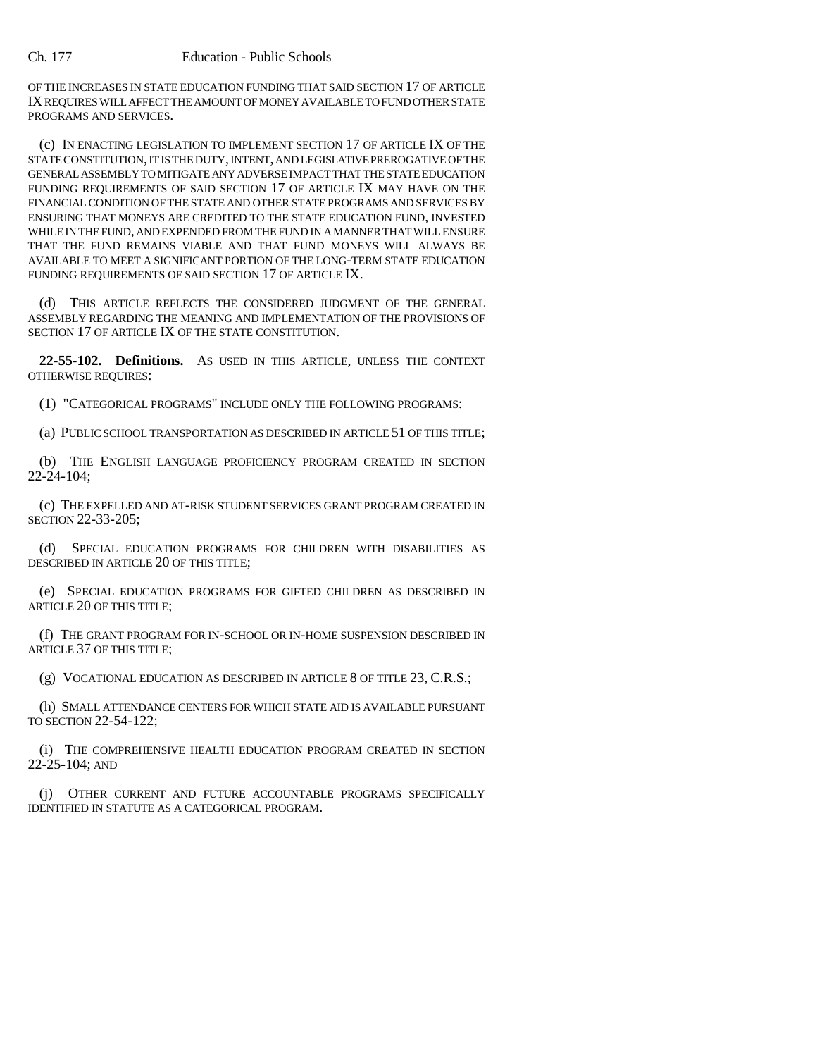OF THE INCREASES IN STATE EDUCATION FUNDING THAT SAID SECTION 17 OF ARTICLE IX REQUIRES WILL AFFECT THE AMOUNT OF MONEY AVAILABLE TO FUND OTHER STATE PROGRAMS AND SERVICES.

(c) IN ENACTING LEGISLATION TO IMPLEMENT SECTION 17 OF ARTICLE IX OF THE STATE CONSTITUTION, IT IS THE DUTY, INTENT, AND LEGISLATIVE PREROGATIVE OF THE GENERAL ASSEMBLY TO MITIGATE ANY ADVERSE IMPACT THAT THE STATE EDUCATION FUNDING REQUIREMENTS OF SAID SECTION 17 OF ARTICLE IX MAY HAVE ON THE FINANCIAL CONDITION OF THE STATE AND OTHER STATE PROGRAMS AND SERVICES BY ENSURING THAT MONEYS ARE CREDITED TO THE STATE EDUCATION FUND, INVESTED WHILE IN THE FUND, AND EXPENDED FROM THE FUND IN A MANNER THAT WILL ENSURE THAT THE FUND REMAINS VIABLE AND THAT FUND MONEYS WILL ALWAYS BE AVAILABLE TO MEET A SIGNIFICANT PORTION OF THE LONG-TERM STATE EDUCATION FUNDING REQUIREMENTS OF SAID SECTION 17 OF ARTICLE IX.

(d) THIS ARTICLE REFLECTS THE CONSIDERED JUDGMENT OF THE GENERAL ASSEMBLY REGARDING THE MEANING AND IMPLEMENTATION OF THE PROVISIONS OF SECTION 17 OF ARTICLE IX OF THE STATE CONSTITUTION.

**22-55-102. Definitions.** AS USED IN THIS ARTICLE, UNLESS THE CONTEXT OTHERWISE REQUIRES:

(1) "CATEGORICAL PROGRAMS" INCLUDE ONLY THE FOLLOWING PROGRAMS:

(a) PUBLIC SCHOOL TRANSPORTATION AS DESCRIBED IN ARTICLE 51 OF THIS TITLE;

(b) THE ENGLISH LANGUAGE PROFICIENCY PROGRAM CREATED IN SECTION  $22 - 24 - 104$ ;

(c) THE EXPELLED AND AT-RISK STUDENT SERVICES GRANT PROGRAM CREATED IN SECTION 22-33-205;

(d) SPECIAL EDUCATION PROGRAMS FOR CHILDREN WITH DISABILITIES AS DESCRIBED IN ARTICLE 20 OF THIS TITLE;

(e) SPECIAL EDUCATION PROGRAMS FOR GIFTED CHILDREN AS DESCRIBED IN ARTICLE 20 OF THIS TITLE;

(f) THE GRANT PROGRAM FOR IN-SCHOOL OR IN-HOME SUSPENSION DESCRIBED IN ARTICLE 37 OF THIS TITLE;

(g) VOCATIONAL EDUCATION AS DESCRIBED IN ARTICLE 8 OF TITLE 23, C.R.S.;

(h) SMALL ATTENDANCE CENTERS FOR WHICH STATE AID IS AVAILABLE PURSUANT TO SECTION 22-54-122;

(i) THE COMPREHENSIVE HEALTH EDUCATION PROGRAM CREATED IN SECTION 22-25-104; AND

(j) OTHER CURRENT AND FUTURE ACCOUNTABLE PROGRAMS SPECIFICALLY IDENTIFIED IN STATUTE AS A CATEGORICAL PROGRAM.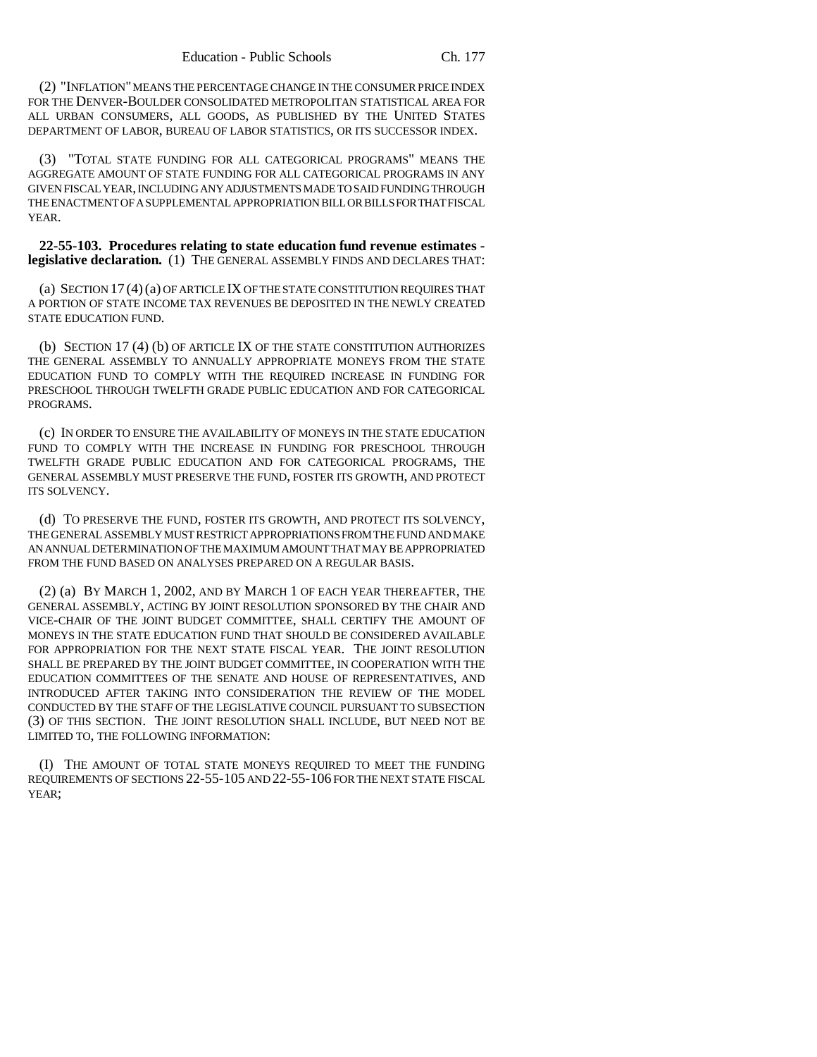(2) "INFLATION" MEANS THE PERCENTAGE CHANGE IN THE CONSUMER PRICE INDEX FOR THE DENVER-BOULDER CONSOLIDATED METROPOLITAN STATISTICAL AREA FOR ALL URBAN CONSUMERS, ALL GOODS, AS PUBLISHED BY THE UNITED STATES DEPARTMENT OF LABOR, BUREAU OF LABOR STATISTICS, OR ITS SUCCESSOR INDEX.

(3) "TOTAL STATE FUNDING FOR ALL CATEGORICAL PROGRAMS" MEANS THE AGGREGATE AMOUNT OF STATE FUNDING FOR ALL CATEGORICAL PROGRAMS IN ANY GIVEN FISCAL YEAR, INCLUDING ANY ADJUSTMENTS MADE TO SAID FUNDING THROUGH THE ENACTMENT OF A SUPPLEMENTAL APPROPRIATION BILL OR BILLS FOR THAT FISCAL YEAR.

**22-55-103. Procedures relating to state education fund revenue estimates legislative declaration.** (1) THE GENERAL ASSEMBLY FINDS AND DECLARES THAT:

(a) SECTION 17 (4)(a) OF ARTICLE IX OF THE STATE CONSTITUTION REQUIRES THAT A PORTION OF STATE INCOME TAX REVENUES BE DEPOSITED IN THE NEWLY CREATED STATE EDUCATION FUND.

(b) SECTION 17 (4) (b) OF ARTICLE IX OF THE STATE CONSTITUTION AUTHORIZES THE GENERAL ASSEMBLY TO ANNUALLY APPROPRIATE MONEYS FROM THE STATE EDUCATION FUND TO COMPLY WITH THE REQUIRED INCREASE IN FUNDING FOR PRESCHOOL THROUGH TWELFTH GRADE PUBLIC EDUCATION AND FOR CATEGORICAL PROGRAMS.

(c) IN ORDER TO ENSURE THE AVAILABILITY OF MONEYS IN THE STATE EDUCATION FUND TO COMPLY WITH THE INCREASE IN FUNDING FOR PRESCHOOL THROUGH TWELFTH GRADE PUBLIC EDUCATION AND FOR CATEGORICAL PROGRAMS, THE GENERAL ASSEMBLY MUST PRESERVE THE FUND, FOSTER ITS GROWTH, AND PROTECT ITS SOLVENCY.

(d) TO PRESERVE THE FUND, FOSTER ITS GROWTH, AND PROTECT ITS SOLVENCY, THE GENERAL ASSEMBLY MUST RESTRICT APPROPRIATIONS FROM THE FUND AND MAKE AN ANNUAL DETERMINATION OF THE MAXIMUM AMOUNT THAT MAY BE APPROPRIATED FROM THE FUND BASED ON ANALYSES PREPARED ON A REGULAR BASIS.

(2) (a) BY MARCH 1, 2002, AND BY MARCH 1 OF EACH YEAR THEREAFTER, THE GENERAL ASSEMBLY, ACTING BY JOINT RESOLUTION SPONSORED BY THE CHAIR AND VICE-CHAIR OF THE JOINT BUDGET COMMITTEE, SHALL CERTIFY THE AMOUNT OF MONEYS IN THE STATE EDUCATION FUND THAT SHOULD BE CONSIDERED AVAILABLE FOR APPROPRIATION FOR THE NEXT STATE FISCAL YEAR. THE JOINT RESOLUTION SHALL BE PREPARED BY THE JOINT BUDGET COMMITTEE, IN COOPERATION WITH THE EDUCATION COMMITTEES OF THE SENATE AND HOUSE OF REPRESENTATIVES, AND INTRODUCED AFTER TAKING INTO CONSIDERATION THE REVIEW OF THE MODEL CONDUCTED BY THE STAFF OF THE LEGISLATIVE COUNCIL PURSUANT TO SUBSECTION (3) OF THIS SECTION. THE JOINT RESOLUTION SHALL INCLUDE, BUT NEED NOT BE LIMITED TO, THE FOLLOWING INFORMATION:

(I) THE AMOUNT OF TOTAL STATE MONEYS REQUIRED TO MEET THE FUNDING REQUIREMENTS OF SECTIONS 22-55-105 AND 22-55-106 FOR THE NEXT STATE FISCAL YEAR;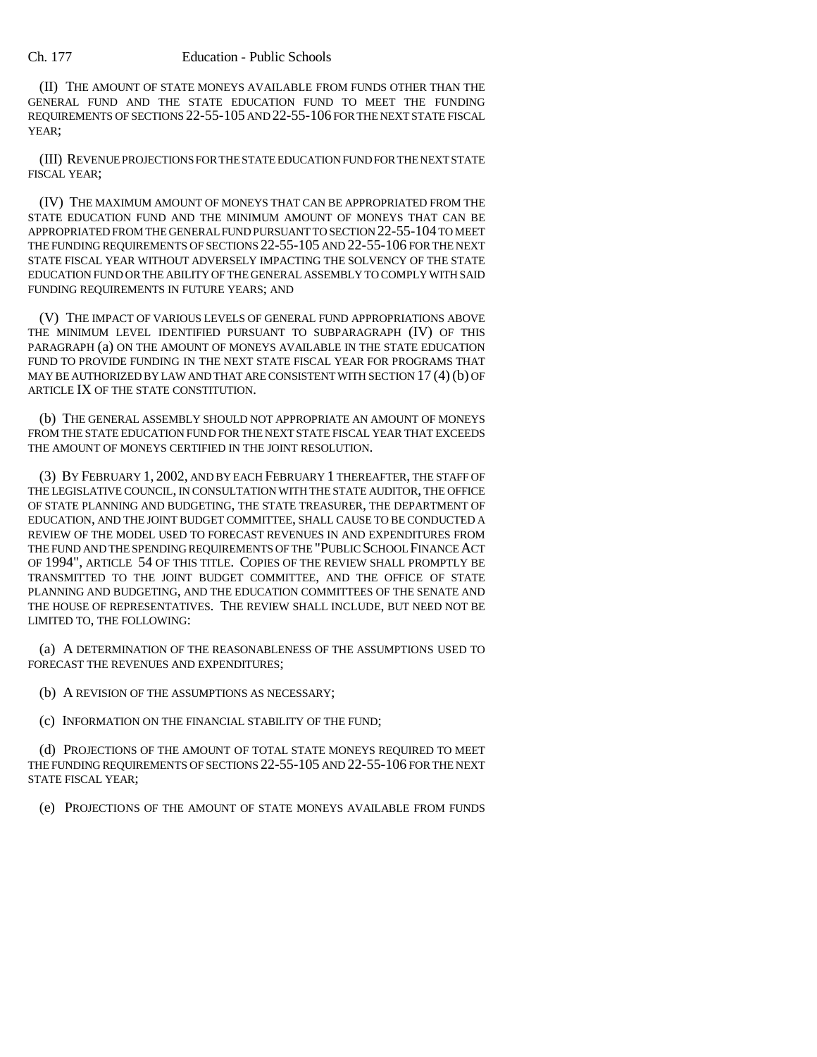(II) THE AMOUNT OF STATE MONEYS AVAILABLE FROM FUNDS OTHER THAN THE GENERAL FUND AND THE STATE EDUCATION FUND TO MEET THE FUNDING REQUIREMENTS OF SECTIONS 22-55-105 AND 22-55-106 FOR THE NEXT STATE FISCAL YEAR;

(III) REVENUE PROJECTIONS FOR THE STATE EDUCATION FUND FOR THE NEXT STATE FISCAL YEAR;

(IV) THE MAXIMUM AMOUNT OF MONEYS THAT CAN BE APPROPRIATED FROM THE STATE EDUCATION FUND AND THE MINIMUM AMOUNT OF MONEYS THAT CAN BE APPROPRIATED FROM THE GENERAL FUND PURSUANT TO SECTION 22-55-104 TO MEET THE FUNDING REQUIREMENTS OF SECTIONS 22-55-105 AND 22-55-106 FOR THE NEXT STATE FISCAL YEAR WITHOUT ADVERSELY IMPACTING THE SOLVENCY OF THE STATE EDUCATION FUND OR THE ABILITY OF THE GENERAL ASSEMBLY TO COMPLY WITH SAID FUNDING REQUIREMENTS IN FUTURE YEARS; AND

(V) THE IMPACT OF VARIOUS LEVELS OF GENERAL FUND APPROPRIATIONS ABOVE THE MINIMUM LEVEL IDENTIFIED PURSUANT TO SUBPARAGRAPH (IV) OF THIS PARAGRAPH (a) ON THE AMOUNT OF MONEYS AVAILABLE IN THE STATE EDUCATION FUND TO PROVIDE FUNDING IN THE NEXT STATE FISCAL YEAR FOR PROGRAMS THAT MAY BE AUTHORIZED BY LAW AND THAT ARE CONSISTENT WITH SECTION 17 (4) (b) OF ARTICLE IX OF THE STATE CONSTITUTION.

(b) THE GENERAL ASSEMBLY SHOULD NOT APPROPRIATE AN AMOUNT OF MONEYS FROM THE STATE EDUCATION FUND FOR THE NEXT STATE FISCAL YEAR THAT EXCEEDS THE AMOUNT OF MONEYS CERTIFIED IN THE JOINT RESOLUTION.

(3) BY FEBRUARY 1, 2002, AND BY EACH FEBRUARY 1 THEREAFTER, THE STAFF OF THE LEGISLATIVE COUNCIL, IN CONSULTATION WITH THE STATE AUDITOR, THE OFFICE OF STATE PLANNING AND BUDGETING, THE STATE TREASURER, THE DEPARTMENT OF EDUCATION, AND THE JOINT BUDGET COMMITTEE, SHALL CAUSE TO BE CONDUCTED A REVIEW OF THE MODEL USED TO FORECAST REVENUES IN AND EXPENDITURES FROM THE FUND AND THE SPENDING REQUIREMENTS OF THE "PUBLIC SCHOOL FINANCE ACT OF 1994", ARTICLE 54 OF THIS TITLE. COPIES OF THE REVIEW SHALL PROMPTLY BE TRANSMITTED TO THE JOINT BUDGET COMMITTEE, AND THE OFFICE OF STATE PLANNING AND BUDGETING, AND THE EDUCATION COMMITTEES OF THE SENATE AND THE HOUSE OF REPRESENTATIVES. THE REVIEW SHALL INCLUDE, BUT NEED NOT BE LIMITED TO, THE FOLLOWING:

(a) A DETERMINATION OF THE REASONABLENESS OF THE ASSUMPTIONS USED TO FORECAST THE REVENUES AND EXPENDITURES;

(b) A REVISION OF THE ASSUMPTIONS AS NECESSARY;

(c) INFORMATION ON THE FINANCIAL STABILITY OF THE FUND;

(d) PROJECTIONS OF THE AMOUNT OF TOTAL STATE MONEYS REQUIRED TO MEET THE FUNDING REQUIREMENTS OF SECTIONS 22-55-105 AND 22-55-106 FOR THE NEXT STATE FISCAL YEAR;

(e) PROJECTIONS OF THE AMOUNT OF STATE MONEYS AVAILABLE FROM FUNDS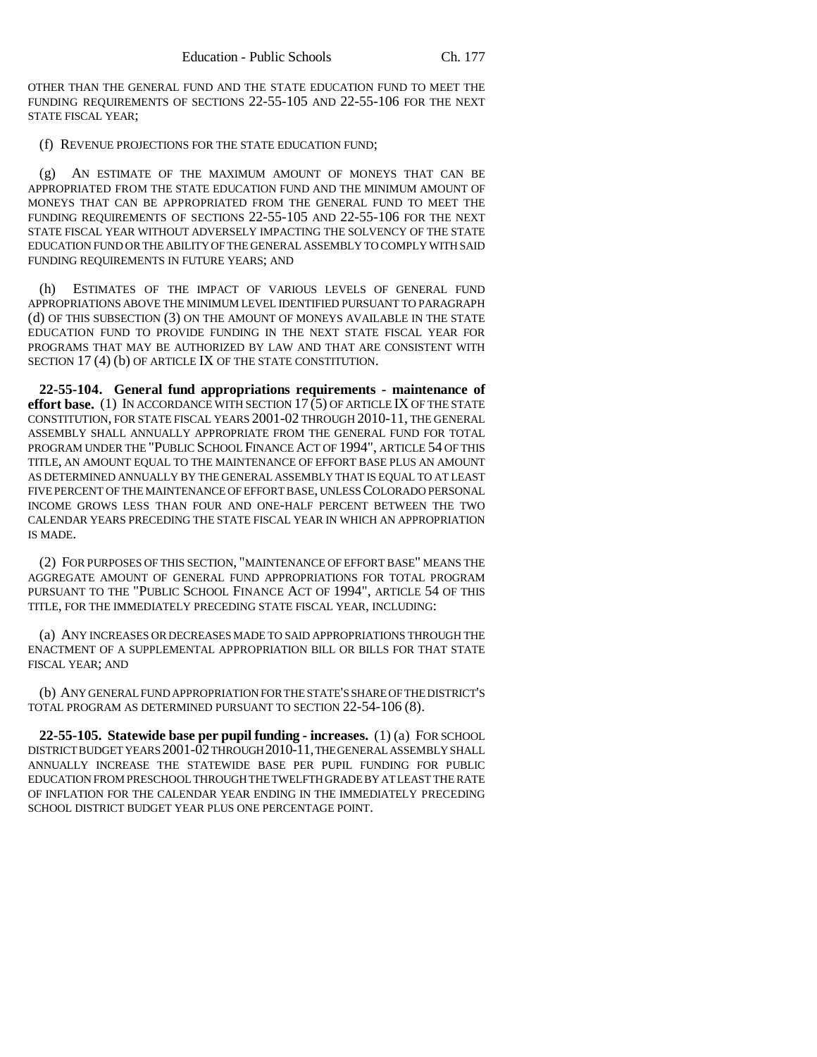OTHER THAN THE GENERAL FUND AND THE STATE EDUCATION FUND TO MEET THE FUNDING REQUIREMENTS OF SECTIONS 22-55-105 AND 22-55-106 FOR THE NEXT STATE FISCAL YEAR;

(f) REVENUE PROJECTIONS FOR THE STATE EDUCATION FUND;

(g) AN ESTIMATE OF THE MAXIMUM AMOUNT OF MONEYS THAT CAN BE APPROPRIATED FROM THE STATE EDUCATION FUND AND THE MINIMUM AMOUNT OF MONEYS THAT CAN BE APPROPRIATED FROM THE GENERAL FUND TO MEET THE FUNDING REQUIREMENTS OF SECTIONS 22-55-105 AND 22-55-106 FOR THE NEXT STATE FISCAL YEAR WITHOUT ADVERSELY IMPACTING THE SOLVENCY OF THE STATE EDUCATION FUND OR THE ABILITY OF THE GENERAL ASSEMBLY TO COMPLY WITH SAID FUNDING REQUIREMENTS IN FUTURE YEARS; AND

(h) ESTIMATES OF THE IMPACT OF VARIOUS LEVELS OF GENERAL FUND APPROPRIATIONS ABOVE THE MINIMUM LEVEL IDENTIFIED PURSUANT TO PARAGRAPH (d) OF THIS SUBSECTION (3) ON THE AMOUNT OF MONEYS AVAILABLE IN THE STATE EDUCATION FUND TO PROVIDE FUNDING IN THE NEXT STATE FISCAL YEAR FOR PROGRAMS THAT MAY BE AUTHORIZED BY LAW AND THAT ARE CONSISTENT WITH SECTION 17(4) (b) OF ARTICLE IX OF THE STATE CONSTITUTION.

**22-55-104. General fund appropriations requirements - maintenance of effort base.** (1) IN ACCORDANCE WITH SECTION 17 (5) OF ARTICLE IX OF THE STATE CONSTITUTION, FOR STATE FISCAL YEARS 2001-02 THROUGH 2010-11, THE GENERAL ASSEMBLY SHALL ANNUALLY APPROPRIATE FROM THE GENERAL FUND FOR TOTAL PROGRAM UNDER THE "PUBLIC SCHOOL FINANCE ACT OF 1994", ARTICLE 54 OF THIS TITLE, AN AMOUNT EQUAL TO THE MAINTENANCE OF EFFORT BASE PLUS AN AMOUNT AS DETERMINED ANNUALLY BY THE GENERAL ASSEMBLY THAT IS EQUAL TO AT LEAST FIVE PERCENT OF THE MAINTENANCE OF EFFORT BASE, UNLESS COLORADO PERSONAL INCOME GROWS LESS THAN FOUR AND ONE-HALF PERCENT BETWEEN THE TWO CALENDAR YEARS PRECEDING THE STATE FISCAL YEAR IN WHICH AN APPROPRIATION IS MADE.

(2) FOR PURPOSES OF THIS SECTION, "MAINTENANCE OF EFFORT BASE" MEANS THE AGGREGATE AMOUNT OF GENERAL FUND APPROPRIATIONS FOR TOTAL PROGRAM PURSUANT TO THE "PUBLIC SCHOOL FINANCE ACT OF 1994", ARTICLE 54 OF THIS TITLE, FOR THE IMMEDIATELY PRECEDING STATE FISCAL YEAR, INCLUDING:

(a) ANY INCREASES OR DECREASES MADE TO SAID APPROPRIATIONS THROUGH THE ENACTMENT OF A SUPPLEMENTAL APPROPRIATION BILL OR BILLS FOR THAT STATE FISCAL YEAR; AND

(b) ANY GENERAL FUND APPROPRIATION FOR THE STATE'S SHARE OF THE DISTRICT'S TOTAL PROGRAM AS DETERMINED PURSUANT TO SECTION 22-54-106 (8).

**22-55-105. Statewide base per pupil funding - increases.** (1) (a) FOR SCHOOL DISTRICT BUDGET YEARS 2001-02 THROUGH 2010-11, THE GENERAL ASSEMBLY SHALL ANNUALLY INCREASE THE STATEWIDE BASE PER PUPIL FUNDING FOR PUBLIC EDUCATION FROM PRESCHOOL THROUGH THE TWELFTH GRADE BY AT LEAST THE RATE OF INFLATION FOR THE CALENDAR YEAR ENDING IN THE IMMEDIATELY PRECEDING SCHOOL DISTRICT BUDGET YEAR PLUS ONE PERCENTAGE POINT.